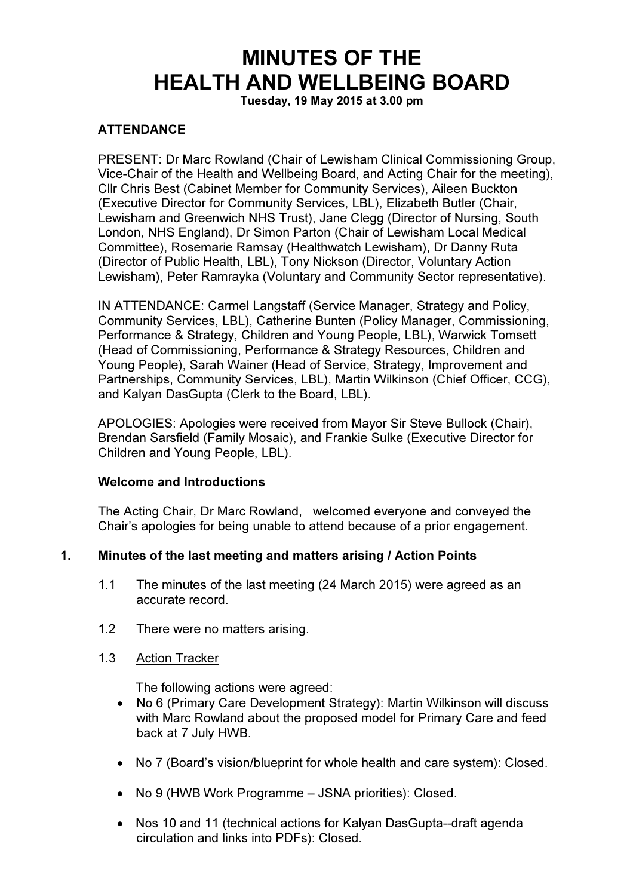# MINUTES OF THE HEALTH AND WELLBEING BOARD

Tuesday, 19 May 2015 at 3.00 pm

# **ATTENDANCE**

PRESENT: Dr Marc Rowland (Chair of Lewisham Clinical Commissioning Group, Vice-Chair of the Health and Wellbeing Board, and Acting Chair for the meeting), Cllr Chris Best (Cabinet Member for Community Services), Aileen Buckton (Executive Director for Community Services, LBL), Elizabeth Butler (Chair, Lewisham and Greenwich NHS Trust), Jane Clegg (Director of Nursing, South London, NHS England), Dr Simon Parton (Chair of Lewisham Local Medical Committee), Rosemarie Ramsay (Healthwatch Lewisham), Dr Danny Ruta (Director of Public Health, LBL), Tony Nickson (Director, Voluntary Action Lewisham), Peter Ramrayka (Voluntary and Community Sector representative).

IN ATTENDANCE: Carmel Langstaff (Service Manager, Strategy and Policy, Community Services, LBL), Catherine Bunten (Policy Manager, Commissioning, Performance & Strategy, Children and Young People, LBL), Warwick Tomsett (Head of Commissioning, Performance & Strategy Resources, Children and Young People), Sarah Wainer (Head of Service, Strategy, Improvement and Partnerships, Community Services, LBL), Martin Wilkinson (Chief Officer, CCG), and Kalyan DasGupta (Clerk to the Board, LBL).

APOLOGIES: Apologies were received from Mayor Sir Steve Bullock (Chair), Brendan Sarsfield (Family Mosaic), and Frankie Sulke (Executive Director for Children and Young People, LBL).

#### Welcome and Introductions

The Acting Chair, Dr Marc Rowland, welcomed everyone and conveyed the Chair's apologies for being unable to attend because of a prior engagement.

#### 1. Minutes of the last meeting and matters arising / Action Points

- 1.1 The minutes of the last meeting (24 March 2015) were agreed as an accurate record.
- 1.2 There were no matters arising.
- 1.3 Action Tracker

The following actions were agreed:

- No 6 (Primary Care Development Strategy): Martin Wilkinson will discuss with Marc Rowland about the proposed model for Primary Care and feed back at 7 July HWB.
- No 7 (Board's vision/blueprint for whole health and care system): Closed.
- No 9 (HWB Work Programme JSNA priorities): Closed.
- Nos 10 and 11 (technical actions for Kalyan DasGupta--draft agenda circulation and links into PDFs): Closed.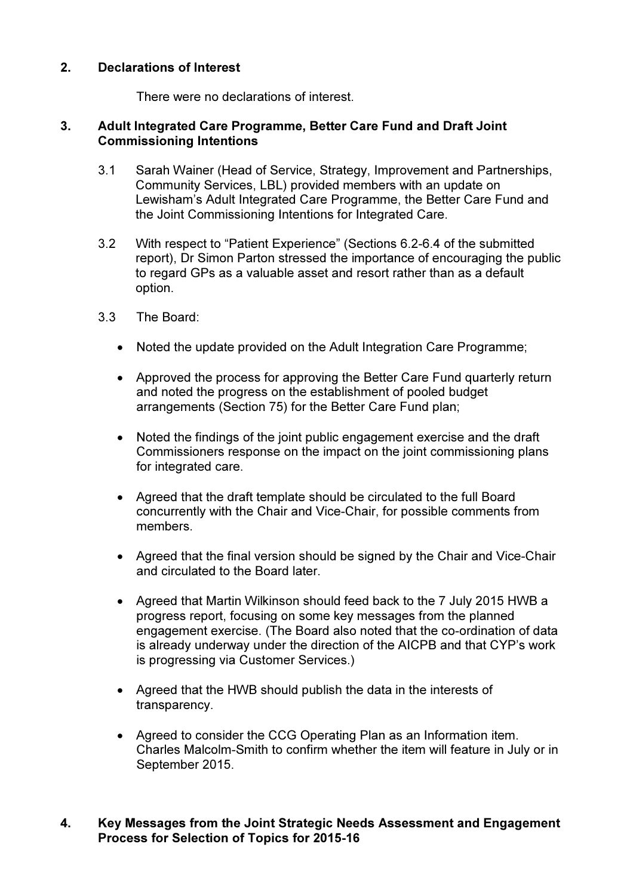## 2. Declarations of Interest

There were no declarations of interest.

#### 3. Adult Integrated Care Programme, Better Care Fund and Draft Joint Commissioning Intentions

- 3.1 Sarah Wainer (Head of Service, Strategy, Improvement and Partnerships, Community Services, LBL) provided members with an update on Lewisham's Adult Integrated Care Programme, the Better Care Fund and the Joint Commissioning Intentions for Integrated Care.
- 3.2 With respect to "Patient Experience" (Sections 6.2-6.4 of the submitted report), Dr Simon Parton stressed the importance of encouraging the public to regard GPs as a valuable asset and resort rather than as a default option.
- 3.3 The Board:
	- Noted the update provided on the Adult Integration Care Programme;
	- Approved the process for approving the Better Care Fund quarterly return and noted the progress on the establishment of pooled budget arrangements (Section 75) for the Better Care Fund plan;
	- Noted the findings of the joint public engagement exercise and the draft Commissioners response on the impact on the joint commissioning plans for integrated care.
	- Agreed that the draft template should be circulated to the full Board concurrently with the Chair and Vice-Chair, for possible comments from members.
	- Agreed that the final version should be signed by the Chair and Vice-Chair and circulated to the Board later.
	- Agreed that Martin Wilkinson should feed back to the 7 July 2015 HWB a progress report, focusing on some key messages from the planned engagement exercise. (The Board also noted that the co-ordination of data is already underway under the direction of the AICPB and that CYP's work is progressing via Customer Services.)
	- Agreed that the HWB should publish the data in the interests of transparency.
	- Agreed to consider the CCG Operating Plan as an Information item. Charles Malcolm-Smith to confirm whether the item will feature in July or in September 2015.

#### 4. Key Messages from the Joint Strategic Needs Assessment and Engagement Process for Selection of Topics for 2015-16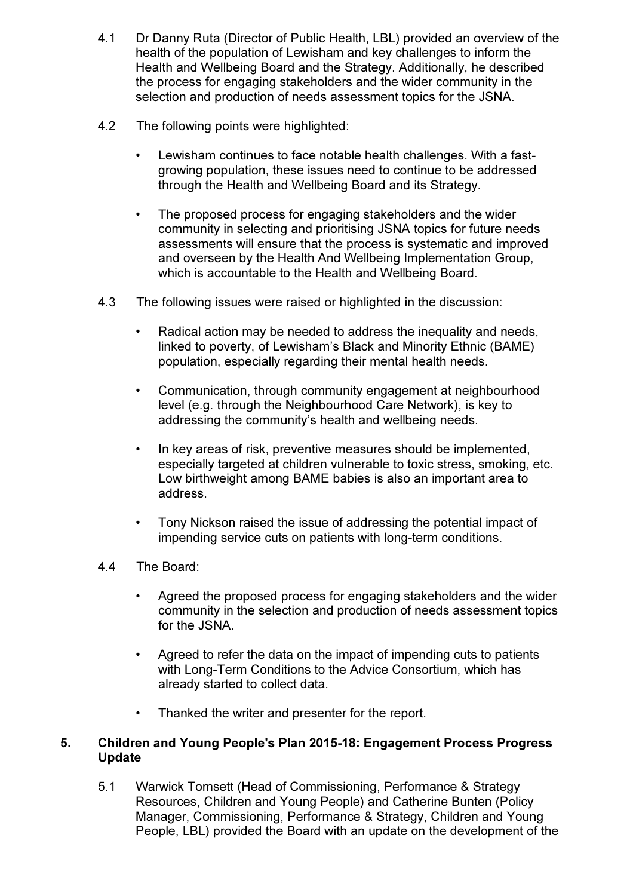- 4.1 Dr Danny Ruta (Director of Public Health, LBL) provided an overview of the health of the population of Lewisham and key challenges to inform the Health and Wellbeing Board and the Strategy. Additionally, he described the process for engaging stakeholders and the wider community in the selection and production of needs assessment topics for the JSNA.
- 4.2 The following points were highlighted:
	- Lewisham continues to face notable health challenges. With a fastgrowing population, these issues need to continue to be addressed through the Health and Wellbeing Board and its Strategy.
	- The proposed process for engaging stakeholders and the wider community in selecting and prioritising JSNA topics for future needs assessments will ensure that the process is systematic and improved and overseen by the Health And Wellbeing Implementation Group, which is accountable to the Health and Wellbeing Board.
- 4.3 The following issues were raised or highlighted in the discussion:
	- Radical action may be needed to address the inequality and needs, linked to poverty, of Lewisham's Black and Minority Ethnic (BAME) population, especially regarding their mental health needs.
	- Communication, through community engagement at neighbourhood level (e.g. through the Neighbourhood Care Network), is key to addressing the community's health and wellbeing needs.
	- In key areas of risk, preventive measures should be implemented, especially targeted at children vulnerable to toxic stress, smoking, etc. Low birthweight among BAME babies is also an important area to address.
	- Tony Nickson raised the issue of addressing the potential impact of impending service cuts on patients with long-term conditions.
- 4.4 The Board:
	- Agreed the proposed process for engaging stakeholders and the wider community in the selection and production of needs assessment topics for the JSNA.
	- Agreed to refer the data on the impact of impending cuts to patients with Long-Term Conditions to the Advice Consortium, which has already started to collect data.
	- Thanked the writer and presenter for the report.

#### 5. Children and Young People's Plan 2015-18: Engagement Process Progress Update

5.1 Warwick Tomsett (Head of Commissioning, Performance & Strategy Resources, Children and Young People) and Catherine Bunten (Policy Manager, Commissioning, Performance & Strategy, Children and Young People, LBL) provided the Board with an update on the development of the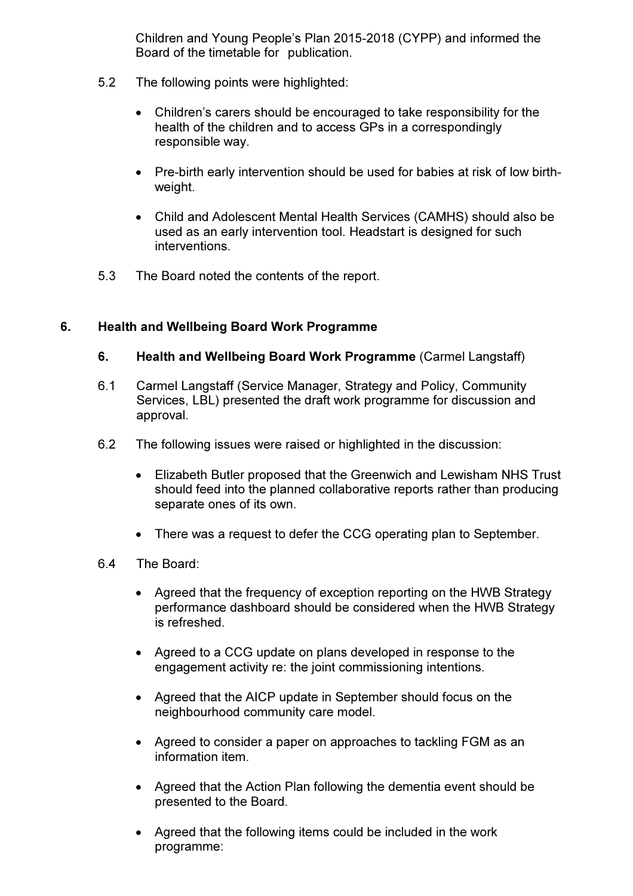Children and Young People's Plan 2015-2018 (CYPP) and informed the Board of the timetable for publication.

- 5.2 The following points were highlighted:
	- Children's carers should be encouraged to take responsibility for the health of the children and to access GPs in a correspondingly responsible way.
	- Pre-birth early intervention should be used for babies at risk of low birthweight.
	- Child and Adolescent Mental Health Services (CAMHS) should also be used as an early intervention tool. Headstart is designed for such interventions.
- 5.3 The Board noted the contents of the report.

# 6. Health and Wellbeing Board Work Programme

### 6. Health and Wellbeing Board Work Programme (Carmel Langstaff)

- 6.1 Carmel Langstaff (Service Manager, Strategy and Policy, Community Services, LBL) presented the draft work programme for discussion and approval.
- 6.2 The following issues were raised or highlighted in the discussion:
	- Elizabeth Butler proposed that the Greenwich and Lewisham NHS Trust should feed into the planned collaborative reports rather than producing separate ones of its own.
	- There was a request to defer the CCG operating plan to September.
- 6.4 The Board:
	- Agreed that the frequency of exception reporting on the HWB Strategy performance dashboard should be considered when the HWB Strategy is refreshed.
	- Agreed to a CCG update on plans developed in response to the engagement activity re: the joint commissioning intentions.
	- Agreed that the AICP update in September should focus on the neighbourhood community care model.
	- Agreed to consider a paper on approaches to tackling FGM as an information item.
	- Agreed that the Action Plan following the dementia event should be presented to the Board.
	- Agreed that the following items could be included in the work programme: